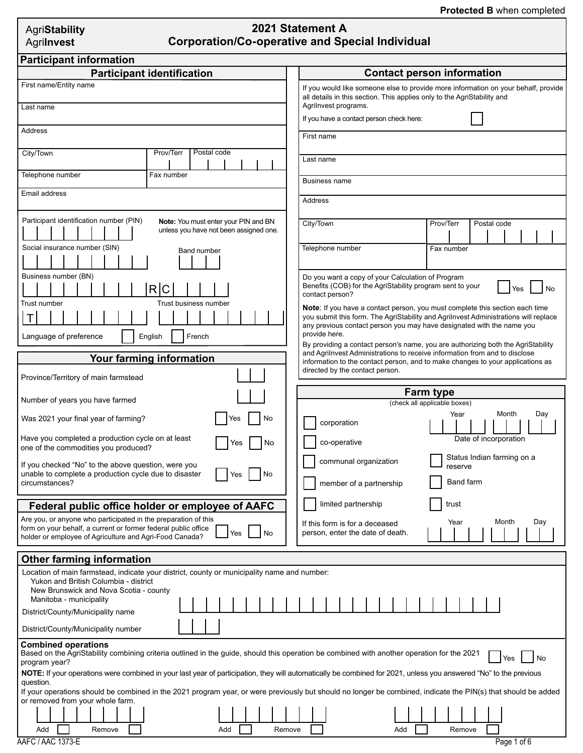| AgriStability |
|---------------|
| Agrilnvest    |

# **2020 Statement A 2021 Statement A Corporation/Co-operative and Special Individual**

| <b>Participant identification</b><br><b>Contact person information</b><br>First name/Entity name<br>If you would like someone else to provide more information on your behalf, provide<br>all details in this section. This applies only to the AgriStability and<br>Agrilnvest programs.<br>Last name                                                                                                                                                                                                                                                                                                                              |
|-------------------------------------------------------------------------------------------------------------------------------------------------------------------------------------------------------------------------------------------------------------------------------------------------------------------------------------------------------------------------------------------------------------------------------------------------------------------------------------------------------------------------------------------------------------------------------------------------------------------------------------|
|                                                                                                                                                                                                                                                                                                                                                                                                                                                                                                                                                                                                                                     |
|                                                                                                                                                                                                                                                                                                                                                                                                                                                                                                                                                                                                                                     |
| If you have a contact person check here:                                                                                                                                                                                                                                                                                                                                                                                                                                                                                                                                                                                            |
| Address<br>First name                                                                                                                                                                                                                                                                                                                                                                                                                                                                                                                                                                                                               |
| Postal code<br>City/Town<br>Prov/Terr<br>Last name                                                                                                                                                                                                                                                                                                                                                                                                                                                                                                                                                                                  |
| Telephone number<br>Fax number<br>Business name                                                                                                                                                                                                                                                                                                                                                                                                                                                                                                                                                                                     |
| Email address<br>Address                                                                                                                                                                                                                                                                                                                                                                                                                                                                                                                                                                                                            |
| Participant identification number (PIN)<br>Note: You must enter your PIN and BN<br>City/Town<br>Prov/Terr<br>Postal code<br>unless you have not been assigned one.                                                                                                                                                                                                                                                                                                                                                                                                                                                                  |
| Social insurance number (SIN)<br>Telephone number<br>Fax number<br>Band number                                                                                                                                                                                                                                                                                                                                                                                                                                                                                                                                                      |
| Business number (BN)<br>Do you want a copy of your Calculation of Program<br>Benefits (COB) for the AgriStability program sent to your<br>R C<br>Yes<br>contact person?<br>Trust number<br>Trust business number<br>Note: If you have a contact person, you must complete this section each time<br>$\mathsf T$<br>you submit this form. The AgriStability and Agrilnvest Administrations will replace<br>any previous contact person you may have designated with the name you<br>provide here.<br>Language of preference<br>English<br>French<br>By providing a contact person's name, you are authorizing both the AgriStability |
| and Agrilnvest Administrations to receive information from and to disclose<br><b>Your farming information</b><br>information to the contact person, and to make changes to your applications as                                                                                                                                                                                                                                                                                                                                                                                                                                     |
| directed by the contact person.<br>Province/Territory of main farmstead                                                                                                                                                                                                                                                                                                                                                                                                                                                                                                                                                             |
| <b>Farm type</b>                                                                                                                                                                                                                                                                                                                                                                                                                                                                                                                                                                                                                    |
| Number of years you have farmed<br>(check all applicable boxes)<br>Month<br>Day<br>Year                                                                                                                                                                                                                                                                                                                                                                                                                                                                                                                                             |
| Was 2021 your final year of farming?<br>No<br>res<br>corporation<br>Have you completed a production cycle on at least<br>Date of incorporation<br>co-operative                                                                                                                                                                                                                                                                                                                                                                                                                                                                      |
| No<br>Yes<br>one of the commodities you produced?<br>Status Indian farming on a                                                                                                                                                                                                                                                                                                                                                                                                                                                                                                                                                     |
| communal organization<br>If you checked "No" to the above question, were you<br>reserve<br>unable to complete a production cycle due to disaster<br>No<br>Yes<br>Band farm<br>member of a partnership<br>circumstances?                                                                                                                                                                                                                                                                                                                                                                                                             |
| limited partnership<br>trust<br>Federal public office holder or employee of AAFC                                                                                                                                                                                                                                                                                                                                                                                                                                                                                                                                                    |
| Are you, or anyone who participated in the preparation of this<br>Month<br>Day<br>Year<br>If this form is for a deceased<br>form on your behalf, a current or former federal public office<br>Yes<br>No<br>person, enter the date of death.<br>holder or employee of Agriculture and Agri-Food Canada?                                                                                                                                                                                                                                                                                                                              |
| <b>Other farming information</b>                                                                                                                                                                                                                                                                                                                                                                                                                                                                                                                                                                                                    |
| Location of main farmstead, indicate your district, county or municipality name and number:<br>Yukon and British Columbia - district<br>New Brunswick and Nova Scotia - county<br>Manitoba - municipality<br>District/County/Municipality name<br>District/County/Municipality number                                                                                                                                                                                                                                                                                                                                               |
| <b>Combined operations</b><br>Based on the AgriStability combining criteria outlined in the guide, should this operation be combined with another operation for the 2021                                                                                                                                                                                                                                                                                                                                                                                                                                                            |
| Yes<br>No<br>program year?<br>NOTE: If your operations were combined in your last year of participation, they will automatically be combined for 2021, unless you answered "No" to the previous                                                                                                                                                                                                                                                                                                                                                                                                                                     |
| question.<br>If your operations should be combined in the 2021 program year, or were previously but should no longer be combined, indicate the PIN(s) that should be added                                                                                                                                                                                                                                                                                                                                                                                                                                                          |
| or removed from your whole farm.                                                                                                                                                                                                                                                                                                                                                                                                                                                                                                                                                                                                    |
| Add<br>Add<br>Add<br>Remove<br>Remove<br>Remove<br>AAFC / AAC 1373-E<br>Page 1 of 6                                                                                                                                                                                                                                                                                                                                                                                                                                                                                                                                                 |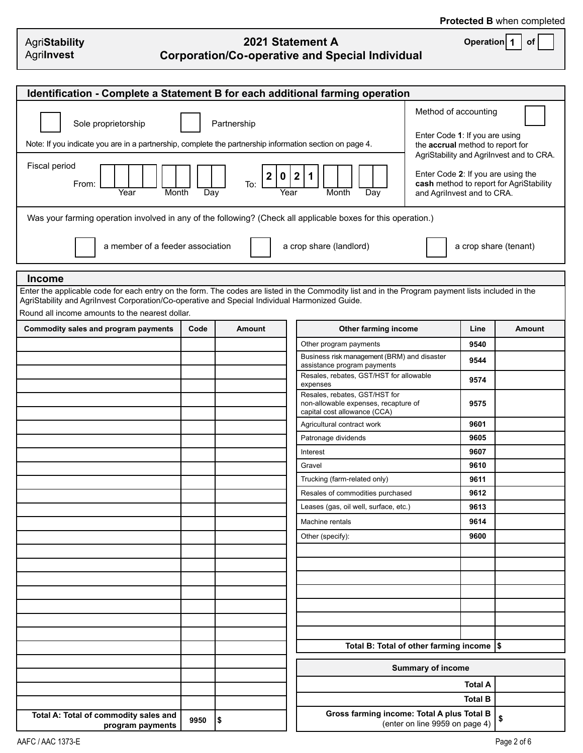**Operation 1 of**

| <b>AgriStability</b> |  |
|----------------------|--|
| Agrilnvest           |  |

## **2021 Statement A Corporation/Co-operative and Special Individual**

| Identification - Complete a Statement B for each additional farming operation                                                                                                                                                                                                                                                                                                                                                                                                                                                                                                                                                                                                                                                                                                                                                                                                                                                                                                                                                                                                            |      |        |                                                                                                                   |                                |                |               |  |  |  |
|------------------------------------------------------------------------------------------------------------------------------------------------------------------------------------------------------------------------------------------------------------------------------------------------------------------------------------------------------------------------------------------------------------------------------------------------------------------------------------------------------------------------------------------------------------------------------------------------------------------------------------------------------------------------------------------------------------------------------------------------------------------------------------------------------------------------------------------------------------------------------------------------------------------------------------------------------------------------------------------------------------------------------------------------------------------------------------------|------|--------|-------------------------------------------------------------------------------------------------------------------|--------------------------------|----------------|---------------|--|--|--|
| Method of accounting<br>Sole proprietorship<br>Partnership<br>Enter Code 1: If you are using<br>Note: If you indicate you are in a partnership, complete the partnership information section on page 4.<br>the accrual method to report for<br>AgriStability and Agrilnvest and to CRA.<br>Fiscal period<br>Enter Code 2: If you are using the<br>$\overline{2}$<br>$\mathbf{2}$<br>$\bf{0}$<br>$\mathbf 1$<br>cash method to report for AgriStability<br>From:<br>To:<br>Year<br>Month<br>Day<br>Month<br>Day<br>and Agrilnvest and to CRA.<br>Year<br>Was your farming operation involved in any of the following? (Check all applicable boxes for this operation.)<br>a member of a feeder association<br>a crop share (landlord)<br>a crop share (tenant)<br><b>Income</b><br>Enter the applicable code for each entry on the form. The codes are listed in the Commodity list and in the Program payment lists included in the<br>AgriStability and Agrilnvest Corporation/Co-operative and Special Individual Harmonized Guide.<br>Round all income amounts to the nearest dollar. |      |        |                                                                                                                   |                                |                |               |  |  |  |
|                                                                                                                                                                                                                                                                                                                                                                                                                                                                                                                                                                                                                                                                                                                                                                                                                                                                                                                                                                                                                                                                                          |      |        |                                                                                                                   |                                |                | <b>Amount</b> |  |  |  |
| Commodity sales and program payments                                                                                                                                                                                                                                                                                                                                                                                                                                                                                                                                                                                                                                                                                                                                                                                                                                                                                                                                                                                                                                                     | Code | Amount | Other farming income                                                                                              |                                | Line           |               |  |  |  |
|                                                                                                                                                                                                                                                                                                                                                                                                                                                                                                                                                                                                                                                                                                                                                                                                                                                                                                                                                                                                                                                                                          |      |        | Other program payments<br>Business risk management (BRM) and disaster<br>assistance program payments              |                                | 9540<br>9544   |               |  |  |  |
|                                                                                                                                                                                                                                                                                                                                                                                                                                                                                                                                                                                                                                                                                                                                                                                                                                                                                                                                                                                                                                                                                          |      |        | Resales, rebates, GST/HST for allowable                                                                           |                                | 9574           |               |  |  |  |
|                                                                                                                                                                                                                                                                                                                                                                                                                                                                                                                                                                                                                                                                                                                                                                                                                                                                                                                                                                                                                                                                                          |      |        | expenses<br>Resales, rebates, GST/HST for<br>non-allowable expenses, recapture of<br>capital cost allowance (CCA) |                                | 9575           |               |  |  |  |
|                                                                                                                                                                                                                                                                                                                                                                                                                                                                                                                                                                                                                                                                                                                                                                                                                                                                                                                                                                                                                                                                                          |      |        | Agricultural contract work                                                                                        |                                | 9601           |               |  |  |  |
|                                                                                                                                                                                                                                                                                                                                                                                                                                                                                                                                                                                                                                                                                                                                                                                                                                                                                                                                                                                                                                                                                          |      |        | Patronage dividends                                                                                               |                                | 9605           |               |  |  |  |
|                                                                                                                                                                                                                                                                                                                                                                                                                                                                                                                                                                                                                                                                                                                                                                                                                                                                                                                                                                                                                                                                                          |      |        | Interest                                                                                                          |                                | 9607           |               |  |  |  |
|                                                                                                                                                                                                                                                                                                                                                                                                                                                                                                                                                                                                                                                                                                                                                                                                                                                                                                                                                                                                                                                                                          |      |        | Gravel                                                                                                            |                                | 9610           |               |  |  |  |
|                                                                                                                                                                                                                                                                                                                                                                                                                                                                                                                                                                                                                                                                                                                                                                                                                                                                                                                                                                                                                                                                                          |      |        | Trucking (farm-related only)                                                                                      |                                | 9611           |               |  |  |  |
|                                                                                                                                                                                                                                                                                                                                                                                                                                                                                                                                                                                                                                                                                                                                                                                                                                                                                                                                                                                                                                                                                          |      |        | Resales of commodities purchased                                                                                  |                                | 9612           |               |  |  |  |
|                                                                                                                                                                                                                                                                                                                                                                                                                                                                                                                                                                                                                                                                                                                                                                                                                                                                                                                                                                                                                                                                                          |      |        | Leases (gas, oil well, surface, etc.)                                                                             |                                | 9613           |               |  |  |  |
|                                                                                                                                                                                                                                                                                                                                                                                                                                                                                                                                                                                                                                                                                                                                                                                                                                                                                                                                                                                                                                                                                          |      |        | Machine rentals                                                                                                   |                                | 9614           |               |  |  |  |
|                                                                                                                                                                                                                                                                                                                                                                                                                                                                                                                                                                                                                                                                                                                                                                                                                                                                                                                                                                                                                                                                                          |      |        | Other (specify):                                                                                                  |                                | 9600           |               |  |  |  |
|                                                                                                                                                                                                                                                                                                                                                                                                                                                                                                                                                                                                                                                                                                                                                                                                                                                                                                                                                                                                                                                                                          |      |        |                                                                                                                   |                                |                |               |  |  |  |
|                                                                                                                                                                                                                                                                                                                                                                                                                                                                                                                                                                                                                                                                                                                                                                                                                                                                                                                                                                                                                                                                                          |      |        |                                                                                                                   |                                |                |               |  |  |  |
|                                                                                                                                                                                                                                                                                                                                                                                                                                                                                                                                                                                                                                                                                                                                                                                                                                                                                                                                                                                                                                                                                          |      |        |                                                                                                                   |                                |                |               |  |  |  |
|                                                                                                                                                                                                                                                                                                                                                                                                                                                                                                                                                                                                                                                                                                                                                                                                                                                                                                                                                                                                                                                                                          |      |        |                                                                                                                   |                                |                |               |  |  |  |
|                                                                                                                                                                                                                                                                                                                                                                                                                                                                                                                                                                                                                                                                                                                                                                                                                                                                                                                                                                                                                                                                                          |      |        |                                                                                                                   |                                |                |               |  |  |  |
|                                                                                                                                                                                                                                                                                                                                                                                                                                                                                                                                                                                                                                                                                                                                                                                                                                                                                                                                                                                                                                                                                          |      |        |                                                                                                                   |                                |                |               |  |  |  |
|                                                                                                                                                                                                                                                                                                                                                                                                                                                                                                                                                                                                                                                                                                                                                                                                                                                                                                                                                                                                                                                                                          |      |        | Total B: Total of other farming income  \$                                                                        |                                |                |               |  |  |  |
|                                                                                                                                                                                                                                                                                                                                                                                                                                                                                                                                                                                                                                                                                                                                                                                                                                                                                                                                                                                                                                                                                          |      |        |                                                                                                                   | <b>Summary of income</b>       |                |               |  |  |  |
|                                                                                                                                                                                                                                                                                                                                                                                                                                                                                                                                                                                                                                                                                                                                                                                                                                                                                                                                                                                                                                                                                          |      |        |                                                                                                                   |                                | <b>Total A</b> |               |  |  |  |
|                                                                                                                                                                                                                                                                                                                                                                                                                                                                                                                                                                                                                                                                                                                                                                                                                                                                                                                                                                                                                                                                                          |      |        |                                                                                                                   |                                | <b>Total B</b> |               |  |  |  |
| Total A: Total of commodity sales and<br>program payments                                                                                                                                                                                                                                                                                                                                                                                                                                                                                                                                                                                                                                                                                                                                                                                                                                                                                                                                                                                                                                | 9950 | Ι\$    | Gross farming income: Total A plus Total B                                                                        | (enter on line 9959 on page 4) |                | \$            |  |  |  |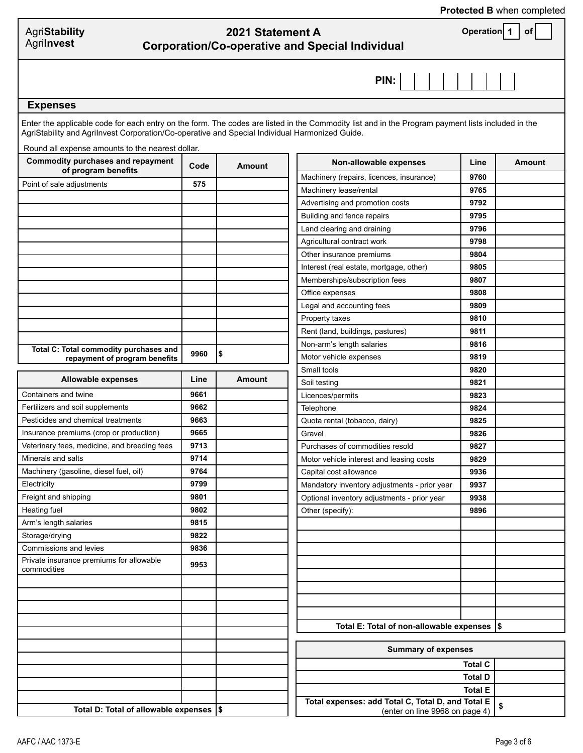### **Protected B** when completed

| AgriStability |  |
|---------------|--|
| Agrilnvest    |  |

# **2021 Statement A Corporation/Co-operative and Special Individual**

**Operation 1 of**

**PIN:**

#### **Expenses**

Enter the applicable code for each entry on the form. The codes are listed in the Commodity list and in the Program payment lists included in the AgriStability and AgriInvest Corporation/Co-operative and Special Individual Harmonized Guide.

Round all expense amounts to the nearest dollar.

| <b>Commodity purchases and repayment</b><br>of program benefits | Code | <b>Amount</b>              | Non-allowable expenses                            | Line           | <b>Amount</b> |  |  |
|-----------------------------------------------------------------|------|----------------------------|---------------------------------------------------|----------------|---------------|--|--|
| Point of sale adjustments                                       | 575  |                            | Machinery (repairs, licences, insurance)          | 9760           |               |  |  |
|                                                                 |      |                            | Machinery lease/rental                            | 9765           |               |  |  |
|                                                                 |      |                            | Advertising and promotion costs                   | 9792           |               |  |  |
|                                                                 |      |                            | Building and fence repairs                        | 9795           |               |  |  |
|                                                                 |      |                            | Land clearing and draining                        | 9796           |               |  |  |
|                                                                 |      |                            | Agricultural contract work                        | 9798           |               |  |  |
|                                                                 |      |                            | Other insurance premiums                          | 9804           |               |  |  |
|                                                                 |      |                            | Interest (real estate, mortgage, other)           | 9805           |               |  |  |
|                                                                 |      |                            | Memberships/subscription fees                     | 9807           |               |  |  |
|                                                                 |      |                            | Office expenses                                   | 9808           |               |  |  |
|                                                                 |      |                            | Legal and accounting fees                         | 9809           |               |  |  |
|                                                                 |      |                            | Property taxes                                    | 9810           |               |  |  |
|                                                                 |      |                            | Rent (land, buildings, pastures)                  | 9811           |               |  |  |
| Total C: Total commodity purchases and                          |      |                            | Non-arm's length salaries                         | 9816           |               |  |  |
| repayment of program benefits                                   | 9960 | \$                         | Motor vehicle expenses                            | 9819           |               |  |  |
|                                                                 |      |                            | Small tools                                       | 9820           |               |  |  |
| <b>Allowable expenses</b>                                       | Line | <b>Amount</b>              | Soil testing                                      | 9821           |               |  |  |
| Containers and twine                                            | 9661 |                            | Licences/permits                                  | 9823           |               |  |  |
| Fertilizers and soil supplements                                | 9662 |                            | Telephone                                         | 9824           |               |  |  |
| Pesticides and chemical treatments                              | 9663 |                            | Quota rental (tobacco, dairy)                     | 9825           |               |  |  |
| Insurance premiums (crop or production)                         | 9665 |                            | Gravel                                            | 9826           |               |  |  |
| Veterinary fees, medicine, and breeding fees                    | 9713 |                            | Purchases of commodities resold                   | 9827           |               |  |  |
| Minerals and salts                                              | 9714 |                            | Motor vehicle interest and leasing costs          | 9829           |               |  |  |
| Machinery (gasoline, diesel fuel, oil)                          | 9764 |                            | Capital cost allowance                            | 9936           |               |  |  |
| Electricity                                                     | 9799 |                            | Mandatory inventory adjustments - prior year      | 9937           |               |  |  |
| Freight and shipping                                            | 9801 |                            | Optional inventory adjustments - prior year       | 9938           |               |  |  |
| Heating fuel                                                    | 9802 |                            | Other (specify):                                  | 9896           |               |  |  |
| Arm's length salaries                                           | 9815 |                            |                                                   |                |               |  |  |
| Storage/drying                                                  | 9822 |                            |                                                   |                |               |  |  |
| Commissions and levies                                          | 9836 |                            |                                                   |                |               |  |  |
| Private insurance premiums for allowable                        | 9953 |                            |                                                   |                |               |  |  |
| commodities                                                     |      |                            |                                                   |                |               |  |  |
|                                                                 |      |                            |                                                   |                |               |  |  |
|                                                                 |      |                            |                                                   |                |               |  |  |
|                                                                 |      |                            |                                                   |                |               |  |  |
|                                                                 |      |                            | Total E: Total of non-allowable expenses  \$      |                |               |  |  |
|                                                                 |      |                            |                                                   |                |               |  |  |
|                                                                 |      | <b>Summary of expenses</b> |                                                   |                |               |  |  |
|                                                                 |      |                            |                                                   | <b>Total C</b> |               |  |  |
|                                                                 |      |                            |                                                   | <b>Total D</b> |               |  |  |
|                                                                 |      |                            |                                                   | <b>Total E</b> |               |  |  |
|                                                                 |      |                            | Total expenses: add Total C, Total D, and Total E |                | \$            |  |  |
| Total D: Total of allowable expenses  \$                        |      |                            | (enter on line 9968 on page 4)                    |                |               |  |  |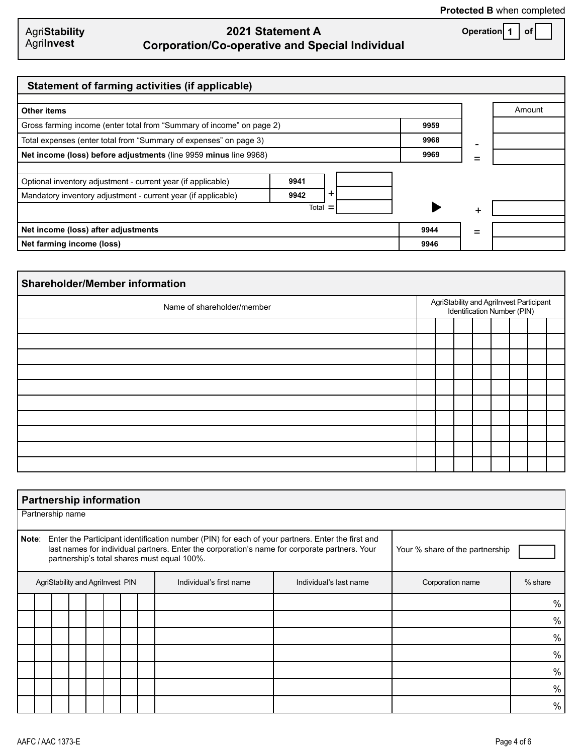| <b>AgriStability</b> |  |
|----------------------|--|
| Agrilnvest           |  |

# **2021 Statement A Corporation/Co-operative and Special Individual**

**Operation 1 of**

| Statement of farming activities (if applicable)                                                                               |                           |   |      |   |        |
|-------------------------------------------------------------------------------------------------------------------------------|---------------------------|---|------|---|--------|
| Other items                                                                                                                   |                           |   |      |   | Amount |
| Gross farming income (enter total from "Summary of income" on page 2)                                                         | 9959                      |   |      |   |        |
| Total expenses (enter total from "Summary of expenses" on page 3)                                                             | 9968                      | - |      |   |        |
| Net income (loss) before adjustments (line 9959 minus line 9968)                                                              |                           |   | 9969 |   |        |
| Optional inventory adjustment - current year (if applicable)<br>Mandatory inventory adjustment - current year (if applicable) | 9941<br>$\ddot{}$<br>9942 |   |      |   |        |
|                                                                                                                               | Total<br>Ξ                |   |      | + |        |
| Net income (loss) after adjustments                                                                                           |                           |   | 9944 | = |        |
| Net farming income (loss)                                                                                                     |                           |   | 9946 |   |        |

| <b>Shareholder/Member information</b> |  |                                                                         |  |  |  |  |  |  |  |  |
|---------------------------------------|--|-------------------------------------------------------------------------|--|--|--|--|--|--|--|--|
| Name of shareholder/member            |  | AgriStability and Agrilnvest Participant<br>Identification Number (PIN) |  |  |  |  |  |  |  |  |
|                                       |  |                                                                         |  |  |  |  |  |  |  |  |
|                                       |  |                                                                         |  |  |  |  |  |  |  |  |
|                                       |  |                                                                         |  |  |  |  |  |  |  |  |
|                                       |  |                                                                         |  |  |  |  |  |  |  |  |
|                                       |  |                                                                         |  |  |  |  |  |  |  |  |
|                                       |  |                                                                         |  |  |  |  |  |  |  |  |
|                                       |  |                                                                         |  |  |  |  |  |  |  |  |
|                                       |  |                                                                         |  |  |  |  |  |  |  |  |
|                                       |  |                                                                         |  |  |  |  |  |  |  |  |
|                                       |  |                                                                         |  |  |  |  |  |  |  |  |

|                                  | <b>Partnership information</b>                                                                                                                                                                                                                                                               |                  |  |  |  |      |      |                         |                        |                  |               |  |
|----------------------------------|----------------------------------------------------------------------------------------------------------------------------------------------------------------------------------------------------------------------------------------------------------------------------------------------|------------------|--|--|--|------|------|-------------------------|------------------------|------------------|---------------|--|
|                                  |                                                                                                                                                                                                                                                                                              | Partnership name |  |  |  |      |      |                         |                        |                  |               |  |
|                                  | Note:<br>Enter the Participant identification number (PIN) for each of your partners. Enter the first and<br>last names for individual partners. Enter the corporation's name for corporate partners. Your<br>Your % share of the partnership<br>partnership's total shares must equal 100%. |                  |  |  |  |      |      |                         |                        |                  |               |  |
| AgriStability and AgriInvest PIN |                                                                                                                                                                                                                                                                                              |                  |  |  |  |      |      | Individual's first name | Individual's last name | Corporation name | $%$ share     |  |
|                                  |                                                                                                                                                                                                                                                                                              |                  |  |  |  |      |      |                         |                        |                  | $\%$          |  |
|                                  |                                                                                                                                                                                                                                                                                              |                  |  |  |  |      |      |                         |                        |                  | $\%$          |  |
|                                  |                                                                                                                                                                                                                                                                                              |                  |  |  |  |      |      |                         |                        |                  | $\%$          |  |
|                                  |                                                                                                                                                                                                                                                                                              |                  |  |  |  |      | $\%$ |                         |                        |                  |               |  |
|                                  |                                                                                                                                                                                                                                                                                              |                  |  |  |  | $\%$ |      |                         |                        |                  |               |  |
|                                  |                                                                                                                                                                                                                                                                                              |                  |  |  |  |      |      |                         |                        |                  | %             |  |
|                                  |                                                                                                                                                                                                                                                                                              |                  |  |  |  |      |      |                         |                        |                  | $\frac{0}{0}$ |  |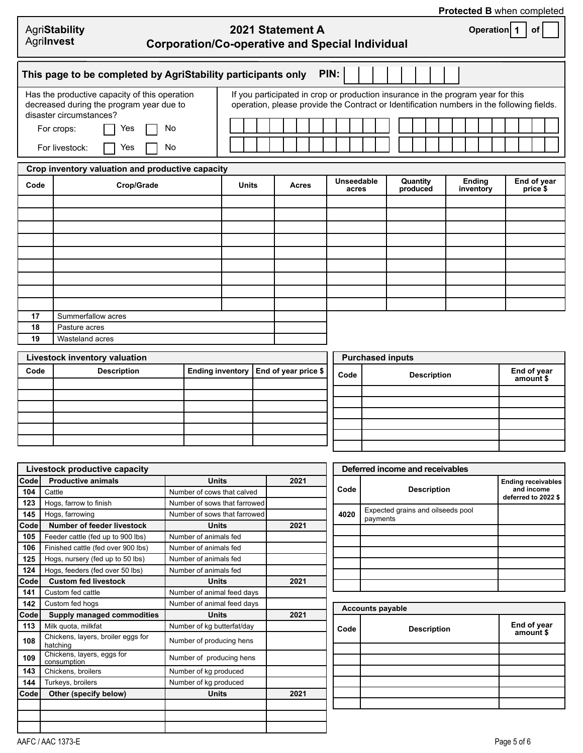|            |                                                                                                                                                                                |              |                  |                                                                                                                                                                               |                      |                            | <b>Protected B when completed</b> |
|------------|--------------------------------------------------------------------------------------------------------------------------------------------------------------------------------|--------------|------------------|-------------------------------------------------------------------------------------------------------------------------------------------------------------------------------|----------------------|----------------------------|-----------------------------------|
| Agrilnvest | AgriStability<br><b>Corporation/Co-operative and Special Individual</b>                                                                                                        |              | 2021 Statement A |                                                                                                                                                                               |                      | Operation 1                | <b>of</b>                         |
|            | This page to be completed by AgriStability participants only                                                                                                                   |              | PIN:             |                                                                                                                                                                               |                      |                            |                                   |
|            | Has the productive capacity of this operation<br>decreased during the program year due to<br>disaster circumstances?<br>For crops:<br>No<br>Yes<br>For livestock:<br>No<br>Yes |              |                  | If you participated in crop or production insurance in the program year for this<br>operation, please provide the Contract or Identification numbers in the following fields. |                      |                            |                                   |
|            | Crop inventory valuation and productive capacity                                                                                                                               |              |                  |                                                                                                                                                                               |                      |                            |                                   |
| Code       | Crop/Grade                                                                                                                                                                     | <b>Units</b> | <b>Acres</b>     | Unseedable<br>acres                                                                                                                                                           | Quantity<br>produced | <b>Ending</b><br>inventory | End of year<br>price \$           |
|            |                                                                                                                                                                                |              |                  |                                                                                                                                                                               |                      |                            |                                   |
|            |                                                                                                                                                                                |              |                  |                                                                                                                                                                               |                      |                            |                                   |
|            |                                                                                                                                                                                |              |                  |                                                                                                                                                                               |                      |                            |                                   |
|            |                                                                                                                                                                                |              |                  |                                                                                                                                                                               |                      |                            |                                   |
|            |                                                                                                                                                                                |              |                  |                                                                                                                                                                               |                      |                            |                                   |
|            |                                                                                                                                                                                |              |                  |                                                                                                                                                                               |                      |                            |                                   |
|            |                                                                                                                                                                                |              |                  |                                                                                                                                                                               |                      |                            |                                   |
|            |                                                                                                                                                                                |              |                  |                                                                                                                                                                               |                      |                            |                                   |
| 17         | Summerfallow acres                                                                                                                                                             |              |                  |                                                                                                                                                                               |                      |                            |                                   |
| 18         | Pasture acres                                                                                                                                                                  |              |                  |                                                                                                                                                                               |                      |                            |                                   |
| 19         | Wasteland acres                                                                                                                                                                |              |                  |                                                                                                                                                                               |                      |                            |                                   |
|            |                                                                                                                                                                                |              |                  |                                                                                                                                                                               |                      |                            |                                   |

f

|      | Livestock inventory valuation |                                         | Р  |
|------|-------------------------------|-----------------------------------------|----|
| Code | <b>Description</b>            | Ending inventory   End of year price \$ | Co |
|      |                               |                                         |    |
|      |                               |                                         |    |
|      |                               |                                         |    |
|      |                               |                                         |    |
|      |                               |                                         |    |
|      |                               |                                         |    |
|      |                               |                                         |    |

| <b>Purchased inputs</b> |                    |                          |  |  |
|-------------------------|--------------------|--------------------------|--|--|
| Code                    | <b>Description</b> | End of year<br>amount \$ |  |  |
|                         |                    |                          |  |  |
|                         |                    |                          |  |  |
|                         |                    |                          |  |  |
|                         |                    |                          |  |  |
|                         |                    |                          |  |  |
|                         |                    |                          |  |  |

|      | Livestock productive capacity                  |                              |      |
|------|------------------------------------------------|------------------------------|------|
| Code | <b>Productive animals</b>                      | <b>Units</b>                 | 2021 |
| 104  | Cattle                                         | Number of cows that calved   |      |
| 123  | Hogs, farrow to finish                         | Number of sows that farrowed |      |
| 145  | Hogs, farrowing                                | Number of sows that farrowed |      |
| Code | Number of feeder livestock                     | Units                        | 2021 |
| 105  | Feeder cattle (fed up to 900 lbs)              | Number of animals fed        |      |
| 106  | Finished cattle (fed over 900 lbs)             | Number of animals fed        |      |
| 125  | Hogs, nursery (fed up to 50 lbs)               | Number of animals fed        |      |
| 124  | Hogs, feeders (fed over 50 lbs)                | Number of animals fed        |      |
| Code | <b>Custom fed livestock</b>                    | <b>Units</b>                 | 2021 |
| 141  | Custom fed cattle                              | Number of animal feed days   |      |
| 142  | Custom fed hogs                                | Number of animal feed days   |      |
| Code | <b>Supply managed commodities</b>              | Units                        | 2021 |
| 113  | Milk quota, milkfat                            | Number of kg butterfat/day   |      |
| 108  | Chickens, layers, broiler eggs for<br>hatching | Number of producing hens     |      |
| 109  | Chickens, layers, eggs for<br>consumption      | Number of producing hens     |      |
| 143  | Chickens, broilers                             | Number of kg produced        |      |
| 144  | Turkeys, broilers                              | Number of kg produced        |      |
| Code | Other (specify below)                          | <b>Units</b>                 | 2021 |
|      |                                                |                              |      |
|      |                                                |                              |      |
|      |                                                |                              |      |

| Deferred income and receivables |                                               |                                                                |  |  |  |
|---------------------------------|-----------------------------------------------|----------------------------------------------------------------|--|--|--|
| Code                            | <b>Description</b>                            | <b>Ending receivables</b><br>and income<br>deferred to 2022 \$ |  |  |  |
| 4020                            | Expected grains and oilseeds pool<br>payments |                                                                |  |  |  |
|                                 |                                               |                                                                |  |  |  |
|                                 |                                               |                                                                |  |  |  |
|                                 |                                               |                                                                |  |  |  |
|                                 |                                               |                                                                |  |  |  |
|                                 |                                               |                                                                |  |  |  |
|                                 |                                               |                                                                |  |  |  |

| <b>Accounts payable</b> |                          |  |  |  |
|-------------------------|--------------------------|--|--|--|
| <b>Description</b>      | End of year<br>amount \$ |  |  |  |
|                         |                          |  |  |  |
|                         |                          |  |  |  |
|                         |                          |  |  |  |
|                         |                          |  |  |  |
|                         |                          |  |  |  |
|                         |                          |  |  |  |
|                         |                          |  |  |  |